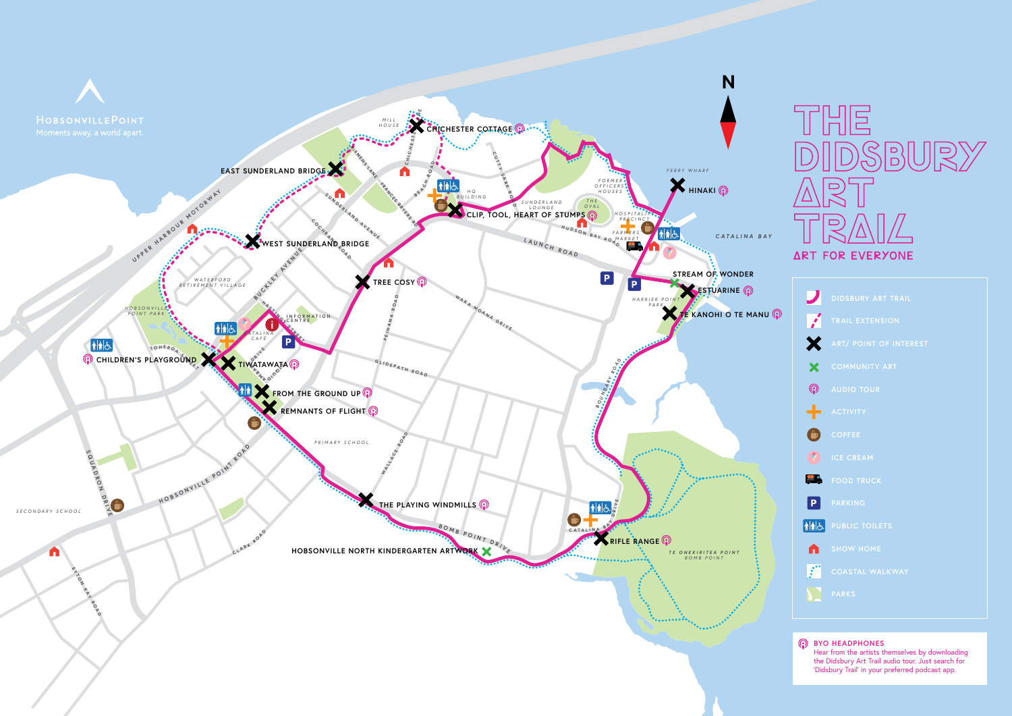| $\overline{\phantom{a}}$        | <b>DIDSBURY ART TRAIL</b>     |
|---------------------------------|-------------------------------|
| $\mathcal{L}$                   | <b>TRAIL EXTENSION</b>        |
| X                               | <b>ART/ POINT OF INTEREST</b> |
| X                               | <b>COMMUNITY ART</b>          |
| ⊚                               | <b>AUDIO TOUR</b>             |
| ÷                               | <b>ACTIVITY</b>               |
| $\mathbf{C}$                    | <b>COFFEE</b>                 |
| $\bullet$                       | <b>ICE CREAM</b>              |
| ÆA                              | <b>FOOD TRUCK</b>             |
| P                               | <b>PARKING</b>                |
| $\left \mathbf{\dot{a}}\right $ | <b>PUBLIC TOILETS</b>         |
| A                               | <b>SHOW HOME</b>              |
| $\mathcal{L}$                   | <b>COASTAL WALKWAY</b>        |
|                                 | <b>PARKS</b>                  |

**BYO HEADPHONES** Hear from the artists themselves by downloading the Didsbury Art Trail audio tour. Just search for 'Didsbury Trail' in your preferred podcast app.



# IН  $\overline{\phantom{a}}$ **ART FOR EVERYONE**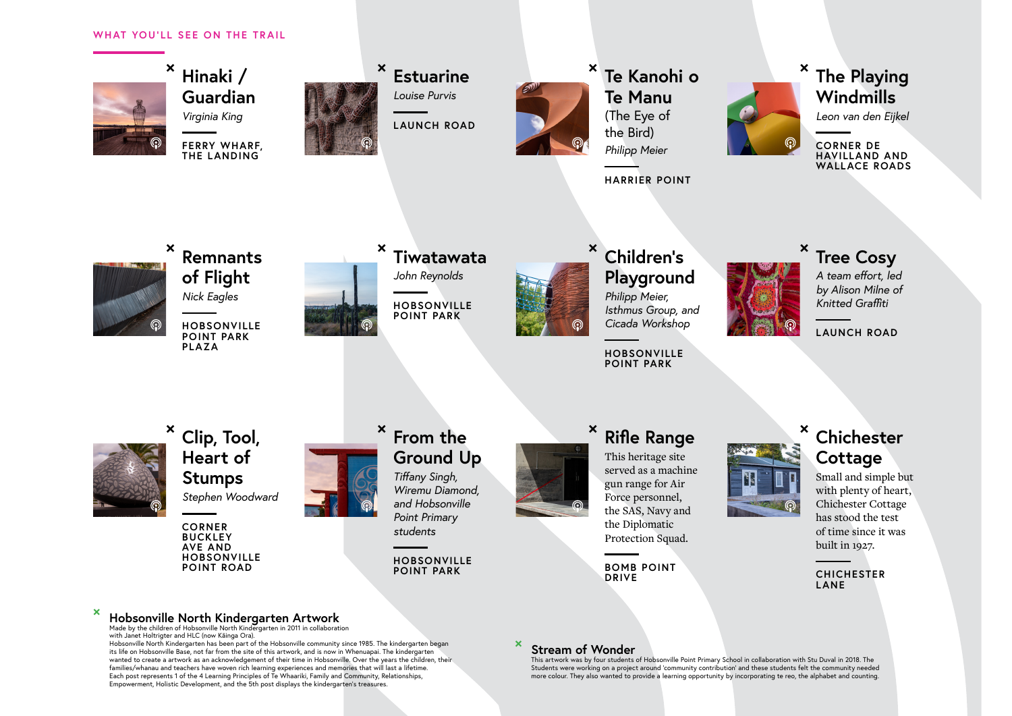**<sup>×</sup> Hinaki / Guardian** *Virginia King*

> **FERRY WHARF, THE LANDING**



**<sup>×</sup> Estuarine** *Louise Purvis*

**LAUNCH ROAD**



**<sup>×</sup> Te Kanohi o Te Manu** (The Eye of

the Bird)

*Philipp Meier*



**HARRIER POINT**



#### **<sup>×</sup> The Playing Windmills**

*Leon van den Eijkel*

**CORNER DE HAVILLAND AND WALLACE ROADS**



#### **<sup>×</sup> Hobsonville North Kindergarten Artwork**

Made by the children of Hobsonville North Kindergarten in 2011 in collaboration with Janet Holtrigter and HLC (now Kāinga Ora).

Hobsonville North Kindergarten has been part of the Hobsonville community since 1985. The kindergarten began its life on Hobsonville Base, not far from the site of this artwork, and is now in Whenuapai. The kindergarten wanted to create a artwork as an acknowledgement of their time in Hobsonville. Over the years the children, their families/whanau and teachers have woven rich learning experiences and memories that will last a lifetime. Each post represents 1 of the 4 Learning Principles of Te Whaariki, Family and Community, Relationships, Empowerment, Holistic Development, and the 5th post displays the kindergarten's treasures.

#### **<sup>×</sup> Stream of Wonder**

This artwork was by four students of Hobsonville Point Primary School in collaboration with Stu Duval in 2018. The Students were working on a project around 'community contribution' and these students felt the community needed more colour. They also wanted to provide a learning opportunity by incorporating te reo, the alphabet and counting.



**<sup>×</sup> Remnants of Flight**

*Nick Eagles*

**HOBSONVILLE POINT PARK PLAZA**



**<sup>×</sup> Tiwatawata**

*John Reynolds*

**HOBSONVILLE POINT PARK**



**<sup>×</sup> Children's Playground**

*Philipp Meier, Isthmus Group, and Cicada Workshop*

**HOBSONVILLE POINT PARK**





#### **<sup>×</sup> Tree Cosy**

*A team effort, led by Alison Milne of Knitted Graffiti*

**LAUNCH ROAD**





**<sup>×</sup> Clip, Tool, Heart of Stumps** *Stephen Woodward*

> **CORNER BUCKLEY AVE AND HOBSONVILLE POINT ROAD**



#### **<sup>×</sup> From the Ground Up** *Tiffany Singh,*

*Wiremu Diamond, and Hobsonville Point Primary students*

**HOBSONVILLE POINT PARK**



This heritage site served as a machine gun range for Air Force personnel, the SAS, Navy and the Diplomatic Protection Squad.

**BOMB POINT DRIVE**

#### **<sup>×</sup> Chichester Cottage**

Small and simple but with plenty of heart, Chichester Cottage has stood the test of time since it was built in 1927.

**CHICHESTER LANE**